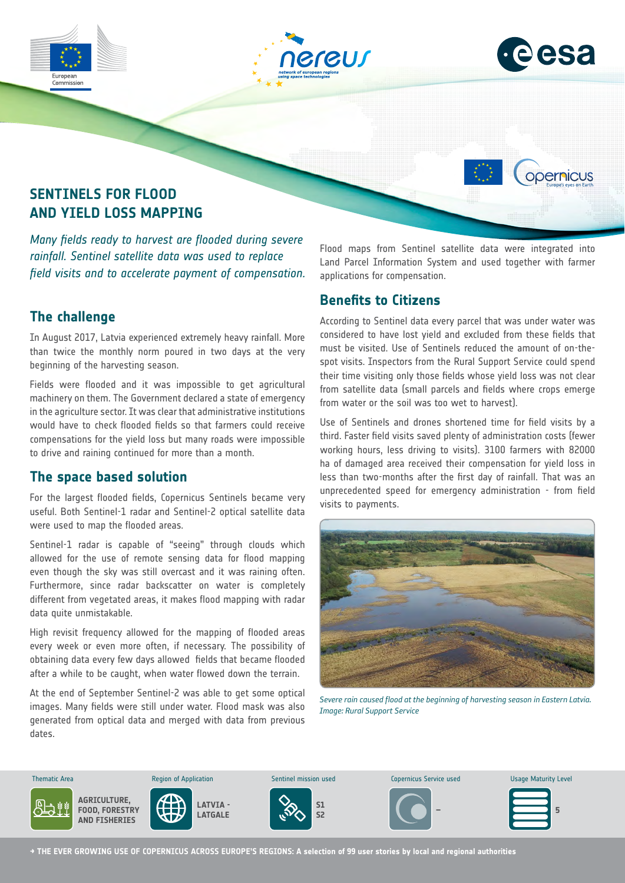





opernicus

## **SENTINELS FOR FLOOD AND YIELD LOSS MAPPING**

*Many fields ready to harvest are flooded during severe rainfall. Sentinel satellite data was used to replace field visits and to accelerate payment of compensation.*

### **The challenge**

In August 2017, Latvia experienced extremely heavy rainfall. More than twice the monthly norm poured in two days at the very beginning of the harvesting season.

Fields were flooded and it was impossible to get agricultural machinery on them. The Government declared a state of emergency in the agriculture sector. It was clear that administrative institutions would have to check flooded fields so that farmers could receive compensations for the yield loss but many roads were impossible to drive and raining continued for more than a month.

#### **The space based solution**

For the largest flooded fields, Copernicus Sentinels became very useful. Both Sentinel-1 radar and Sentinel-2 optical satellite data were used to map the flooded areas.

Sentinel-1 radar is capable of "seeing" through clouds which allowed for the use of remote sensing data for flood mapping even though the sky was still overcast and it was raining often. Furthermore, since radar backscatter on water is completely different from vegetated areas, it makes flood mapping with radar data quite unmistakable.

High revisit frequency allowed for the mapping of flooded areas every week or even more often, if necessary. The possibility of obtaining data every few days allowed fields that became flooded after a while to be caught, when water flowed down the terrain.

At the end of September Sentinel-2 was able to get some optical images. Many fields were still under water. Flood mask was also generated from optical data and merged with data from previous dates.

Flood maps from Sentinel satellite data were integrated into Land Parcel Information System and used together with farmer applications for compensation.

#### **Benefits to Citizens**

According to Sentinel data every parcel that was under water was considered to have lost yield and excluded from these fields that must be visited. Use of Sentinels reduced the amount of on-thespot visits. Inspectors from the Rural Support Service could spend their time visiting only those fields whose yield loss was not clear from satellite data (small parcels and fields where crops emerge from water or the soil was too wet to harvest).

Use of Sentinels and drones shortened time for field visits by a third. Faster field visits saved plenty of administration costs (fewer working hours, less driving to visits). 3100 farmers with 82000 ha of damaged area received their compensation for yield loss in less than two-months after the first day of rainfall. That was an unprecedented speed for emergency administration - from field visits to payments.



*Severe rain caused flood at the beginning of harvesting season in Eastern Latvia. Image: Rural Support Service*



**→ THE EVER GROWING USE OF COPERNICUS ACROSS EUROPE'S REGIONS: A selection of 99 user stories by local and regional authorities**